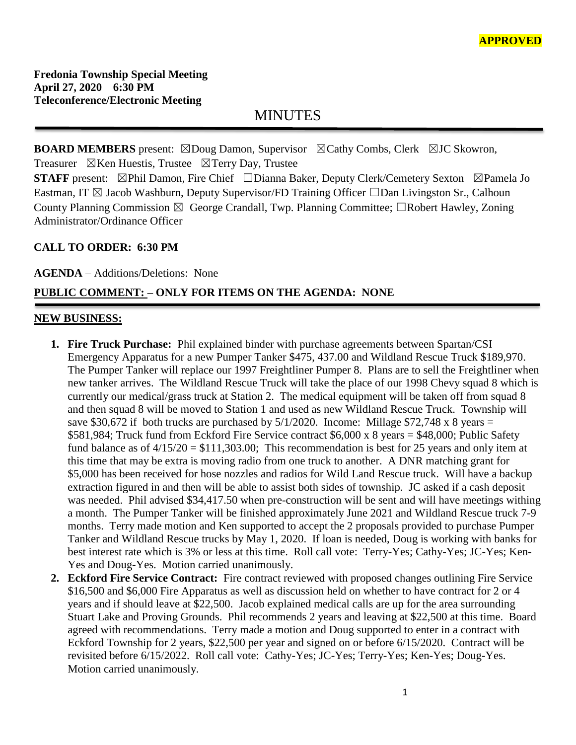MINUTES

**BOARD MEMBERS** present: ⊠Doug Damon, Supervisor ⊠Cathy Combs, Clerk ⊠JC Skowron, Treasurer  $\boxtimes$ Ken Huestis, Trustee  $\boxtimes$ Terry Day, Trustee

**STAFF** present: ⊠Phil Damon, Fire Chief □Dianna Baker, Deputy Clerk/Cemetery Sexton ⊠Pamela Jo Eastman, IT  $\boxtimes$  Jacob Washburn, Deputy Supervisor/FD Training Officer  $\Box$ Dan Livingston Sr., Calhoun County Planning Commission  $\boxtimes$  George Crandall, Twp. Planning Committee;  $\Box$ Robert Hawley, Zoning Administrator/Ordinance Officer

### **CALL TO ORDER: 6:30 PM**

**AGENDA** – Additions/Deletions: None

## **PUBLIC COMMENT: – ONLY FOR ITEMS ON THE AGENDA: NONE**

#### **NEW BUSINESS:**

- **1. Fire Truck Purchase:** Phil explained binder with purchase agreements between Spartan/CSI Emergency Apparatus for a new Pumper Tanker \$475, 437.00 and Wildland Rescue Truck \$189,970. The Pumper Tanker will replace our 1997 Freightliner Pumper 8. Plans are to sell the Freightliner when new tanker arrives. The Wildland Rescue Truck will take the place of our 1998 Chevy squad 8 which is currently our medical/grass truck at Station 2. The medical equipment will be taken off from squad 8 and then squad 8 will be moved to Station 1 and used as new Wildland Rescue Truck. Township will save \$30,672 if both trucks are purchased by  $5/1/2020$ . Income: Millage \$72,748 x 8 years = \$581,984; Truck fund from Eckford Fire Service contract \$6,000 x 8 years = \$48,000; Public Safety fund balance as of  $4/15/20 = $111,303.00$ ; This recommendation is best for 25 years and only item at this time that may be extra is moving radio from one truck to another. A DNR matching grant for \$5,000 has been received for hose nozzles and radios for Wild Land Rescue truck. Will have a backup extraction figured in and then will be able to assist both sides of township. JC asked if a cash deposit was needed. Phil advised \$34,417.50 when pre-construction will be sent and will have meetings withing a month. The Pumper Tanker will be finished approximately June 2021 and Wildland Rescue truck 7-9 months. Terry made motion and Ken supported to accept the 2 proposals provided to purchase Pumper Tanker and Wildland Rescue trucks by May 1, 2020. If loan is needed, Doug is working with banks for best interest rate which is 3% or less at this time. Roll call vote: Terry-Yes; Cathy-Yes; JC-Yes; Ken-Yes and Doug-Yes. Motion carried unanimously.
- **2. Eckford Fire Service Contract:** Fire contract reviewed with proposed changes outlining Fire Service \$16,500 and \$6,000 Fire Apparatus as well as discussion held on whether to have contract for 2 or 4 years and if should leave at \$22,500. Jacob explained medical calls are up for the area surrounding Stuart Lake and Proving Grounds. Phil recommends 2 years and leaving at \$22,500 at this time. Board agreed with recommendations. Terry made a motion and Doug supported to enter in a contract with Eckford Township for 2 years, \$22,500 per year and signed on or before 6/15/2020. Contract will be revisited before 6/15/2022. Roll call vote: Cathy-Yes; JC-Yes; Terry-Yes; Ken-Yes; Doug-Yes. Motion carried unanimously.